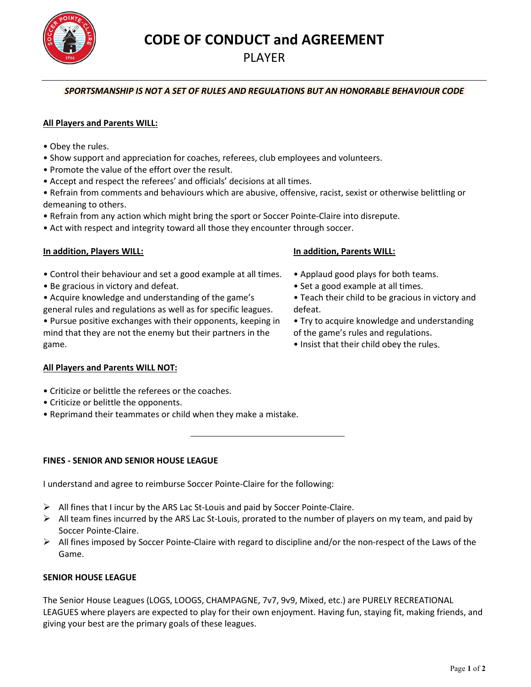CODE OF CONDUCT and AGREEMENT

# PLAYER

## SPORTSMANSHIP IS NOT A SET OF RULES AND REGULATIONS BUT AN HONORABLE BEHAVIOUR CODE

## All Players and Parents WILL:

- Obey the rules.
- Show support and appreciation for coaches, referees, club employees and volunteers.
- Promote the value of the effort over the result.
- Accept and respect the referees' and officials' decisions at all times.

• Refrain from comments and behaviours which are abusive, offensive, racist, sexist or otherwise belittling or demeaning to others.

- Refrain from any action which might bring the sport or Soccer Pointe-Claire into disrepute.
- Act with respect and integrity toward all those they encounter through soccer.

## In addition, Players WILL:

- Control their behaviour and set a good example at all times.
- Be gracious in victory and defeat.
- Acquire knowledge and understanding of the game's

general rules and regulations as well as for specific leagues. • Pursue positive exchanges with their opponents, keeping in mind that they are not the enemy but their partners in the game.

#### In addition, Parents WILL:

- Applaud good plays for both teams.
- Set a good example at all times.
- Teach their child to be gracious in victory and defeat.
- Try to acquire knowledge and understanding of the game's rules and regulations.
- Insist that their child obey the rules.

## All Players and Parents WILL NOT:

- Criticize or belittle the referees or the coaches.
- Criticize or belittle the opponents.
- Reprimand their teammates or child when they make a mistake.

## FINES - SENIOR AND SENIOR HOUSE LEAGUE

I understand and agree to reimburse Soccer Pointe-Claire for the following:

- $\triangleright$  All fines that I incur by the ARS Lac St-Louis and paid by Soccer Pointe-Claire.
- $\triangleright$  All team fines incurred by the ARS Lac St-Louis, prorated to the number of players on my team, and paid by Soccer Pointe-Claire.
- $\triangleright$  All fines imposed by Soccer Pointe-Claire with regard to discipline and/or the non-respect of the Laws of the Game.

## SENIOR HOUSE LEAGUE

The Senior House Leagues (LOGS, LOOGS, CHAMPAGNE, 7v7, 9v9, Mixed, etc.) are PURELY RECREATIONAL LEAGUES where players are expected to play for their own enjoyment. Having fun, staying fit, making friends, and giving your best are the primary goals of these leagues.